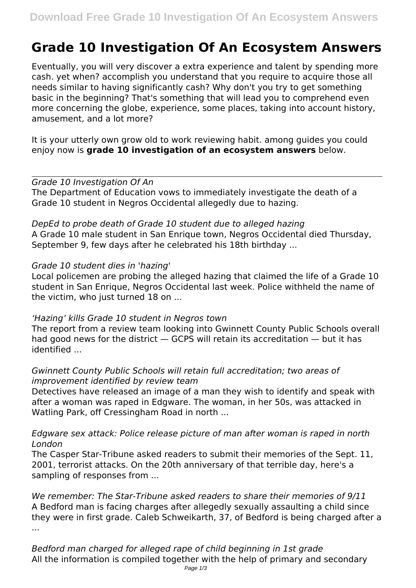# **Grade 10 Investigation Of An Ecosystem Answers**

Eventually, you will very discover a extra experience and talent by spending more cash. yet when? accomplish you understand that you require to acquire those all needs similar to having significantly cash? Why don't you try to get something basic in the beginning? That's something that will lead you to comprehend even more concerning the globe, experience, some places, taking into account history, amusement, and a lot more?

It is your utterly own grow old to work reviewing habit. among guides you could enjoy now is **grade 10 investigation of an ecosystem answers** below.

*Grade 10 Investigation Of An* The Department of Education vows to immediately investigate the death of a Grade 10 student in Negros Occidental allegedly due to hazing.

*DepEd to probe death of Grade 10 student due to alleged hazing* A Grade 10 male student in San Enrique town, Negros Occidental died Thursday, September 9, few days after he celebrated his 18th birthday ...

## *Grade 10 student dies in 'hazing'*

Local policemen are probing the alleged hazing that claimed the life of a Grade 10 student in San Enrique, Negros Occidental last week. Police withheld the name of the victim, who just turned 18 on ...

# *'Hazing' kills Grade 10 student in Negros town*

The report from a review team looking into Gwinnett County Public Schools overall had good news for the district — GCPS will retain its accreditation — but it has identified ...

# *Gwinnett County Public Schools will retain full accreditation; two areas of improvement identified by review team*

Detectives have released an image of a man they wish to identify and speak with after a woman was raped in Edgware. The woman, in her 50s, was attacked in Watling Park, off Cressingham Road in north ...

# *Edgware sex attack: Police release picture of man after woman is raped in north London*

The Casper Star-Tribune asked readers to submit their memories of the Sept. 11, 2001, terrorist attacks. On the 20th anniversary of that terrible day, here's a sampling of responses from ...

*We remember: The Star-Tribune asked readers to share their memories of 9/11* A Bedford man is facing charges after allegedly sexually assaulting a child since they were in first grade. Caleb Schweikarth, 37, of Bedford is being charged after a ...

*Bedford man charged for alleged rape of child beginning in 1st grade* All the information is compiled together with the help of primary and secondary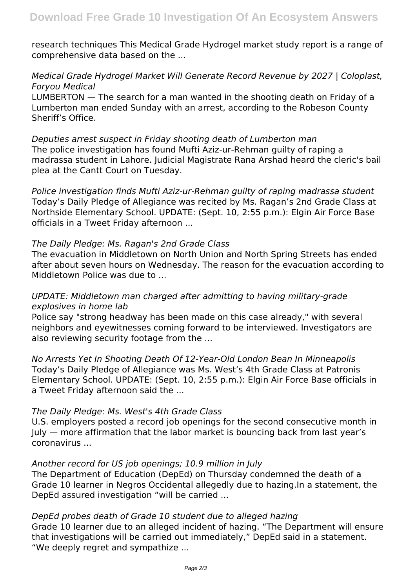research techniques This Medical Grade Hydrogel market study report is a range of comprehensive data based on the ...

# *Medical Grade Hydrogel Market Will Generate Record Revenue by 2027 | Coloplast, Foryou Medical*

LUMBERTON — The search for a man wanted in the shooting death on Friday of a Lumberton man ended Sunday with an arrest, according to the Robeson County Sheriff's Office.

*Deputies arrest suspect in Friday shooting death of Lumberton man* The police investigation has found Mufti Aziz-ur-Rehman guilty of raping a madrassa student in Lahore. Judicial Magistrate Rana Arshad heard the cleric's bail plea at the Cantt Court on Tuesday.

*Police investigation finds Mufti Aziz-ur-Rehman guilty of raping madrassa student* Today's Daily Pledge of Allegiance was recited by Ms. Ragan's 2nd Grade Class at Northside Elementary School. UPDATE: (Sept. 10, 2:55 p.m.): Elgin Air Force Base officials in a Tweet Friday afternoon ...

#### *The Daily Pledge: Ms. Ragan's 2nd Grade Class*

The evacuation in Middletown on North Union and North Spring Streets has ended after about seven hours on Wednesday. The reason for the evacuation according to Middletown Police was due to ...

# *UPDATE: Middletown man charged after admitting to having military-grade explosives in home lab*

Police say "strong headway has been made on this case already," with several neighbors and eyewitnesses coming forward to be interviewed. Investigators are also reviewing security footage from the ...

*No Arrests Yet In Shooting Death Of 12-Year-Old London Bean In Minneapolis* Today's Daily Pledge of Allegiance was Ms. West's 4th Grade Class at Patronis Elementary School. UPDATE: (Sept. 10, 2:55 p.m.): Elgin Air Force Base officials in a Tweet Friday afternoon said the ...

## *The Daily Pledge: Ms. West's 4th Grade Class*

U.S. employers posted a record job openings for the second consecutive month in July — more affirmation that the labor market is bouncing back from last year's coronavirus ...

## *Another record for US job openings; 10.9 million in July*

The Department of Education (DepEd) on Thursday condemned the death of a Grade 10 learner in Negros Occidental allegedly due to hazing.In a statement, the DepEd assured investigation "will be carried ...

## *DepEd probes death of Grade 10 student due to alleged hazing*

Grade 10 learner due to an alleged incident of hazing. "The Department will ensure that investigations will be carried out immediately," DepEd said in a statement. "We deeply regret and sympathize ...